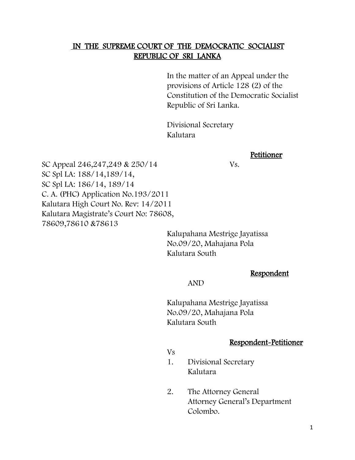#### IN THE SUPREME COURT OF THE DEMOCRATIC SOCIALIST REPUBLIC OF SRI LANKA

In the matter of an Appeal under the provisions of Article 128 (2) of the Constitution of the Democratic Socialist Republic of Sri Lanka.

Divisional Secretary Kalutara

#### Petitioner

SC Appeal 246,247,249 & 250/14 Vs. SC Spl LA: 188/14,189/14, SC Spl LA: 186/14, 189/14 C. A. (PHC) Application No.193/2011 Kalutara High Court No. Rev: 14/2011 Kalutara Magistrate's Court No: 78608, 78609,78610 &78613

> Kalupahana Mestrige Jayatissa No.09/20, Mahajana Pola Kalutara South

> > Respondent

AND

Kalupahana Mestrige Jayatissa No.09/20, Mahajana Pola Kalutara South

#### Respondent-Petitioner

Vs

- 1. Divisional Secretary Kalutara
- 2. The Attorney General Attorney General's Department Colombo.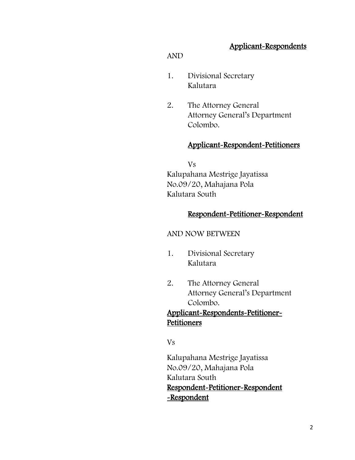### Applicant-Respondents

#### AND

- 1. Divisional Secretary Kalutara
- 2. The Attorney General Attorney General's Department Colombo.

#### Applicant-Respondent-Petitioners

Vs Kalupahana Mestrige Jayatissa No.09/20, Mahajana Pola Kalutara South

#### Respondent-Petitioner-Respondent

#### AND NOW BETWEEN

- 1. Divisional Secretary Kalutara
- 2. The Attorney General Attorney General's Department Colombo.

## Applicant-Respondents-Petitioner-Petitioners

Vs

Kalupahana Mestrige Jayatissa No.09/20, Mahajana Pola Kalutara South Respondent-Petitioner-Respondent -Respondent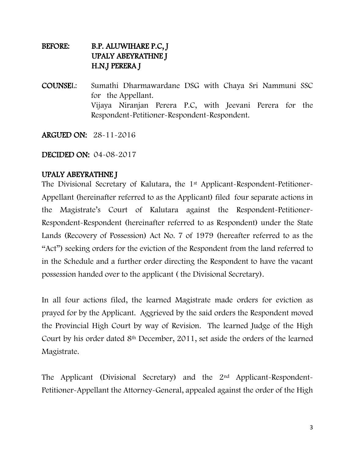## BEFORE: B.P. ALUWIHARE P.C, J UPALY ABEYRATHNE J H.N.J PERERA J

COUNSEL: Sumathi Dharmawardane DSG with Chaya Sri Nammuni SSC for the Appellant. Vijaya Niranjan Perera P.C, with Jeevani Perera for the Respondent-Petitioner-Respondent-Respondent.

ARGUED ON: 28-11-2016

DECIDED ON: 04-08-2017

### UPALY ABEYRATHNE J

The Divisional Secretary of Kalutara, the 1<sup>st</sup> Applicant-Respondent-Petitioner-Appellant (hereinafter referred to as the Applicant) filed four separate actions in the Magistrate's Court of Kalutara against the Respondent-Petitioner-Respondent-Respondent (hereinafter referred to as Respondent) under the State Lands (Recovery of Possession) Act No. 7 of 1979 (hereafter referred to as the "Act") seeking orders for the eviction of the Respondent from the land referred to in the Schedule and a further order directing the Respondent to have the vacant possession handed over to the applicant ( the Divisional Secretary).

In all four actions filed, the learned Magistrate made orders for eviction as prayed for by the Applicant. Aggrieved by the said orders the Respondent moved the Provincial High Court by way of Revision. The learned Judge of the High Court by his order dated 8th December, 2011, set aside the orders of the learned Magistrate.

The Applicant (Divisional Secretary) and the 2nd Applicant-Respondent-Petitioner-Appellant the Attorney-General, appealed against the order of the High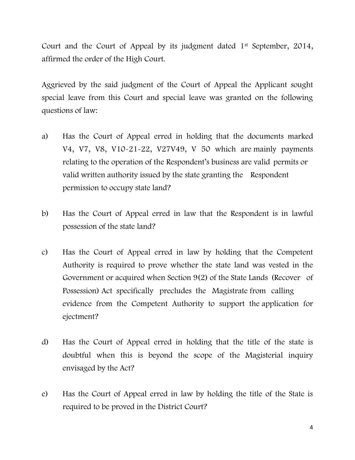Court and the Court of Appeal by its judgment dated 1<sup>st</sup> September, 2014, affirmed the order of the High Court.

Aggrieved by the said judgment of the Court of Appeal the Applicant sought special leave from this Court and special leave was granted on the following questions of law:

- a) Has the Court of Appeal erred in holding that the documents marked V4, V7, V8, V10-21-22, V27V49, V 50 which are mainly payments relating to the operation of the Respondent's business are valid permits or valid written authority issued by the state granting the Respondent permission to occupy state land?
- b) Has the Court of Appeal erred in law that the Respondent is in lawful possession of the state land?
- c) Has the Court of Appeal erred in law by holding that the Competent Authority is required to prove whether the state land was vested in the Government or acquired when Section 9(2) of the State Lands (Recover of Possession) Act specifically precludes the Magistrate from calling evidence from the Competent Authority to support the application for ejectment?
- d) Has the Court of Appeal erred in holding that the title of the state is doubtful when this is beyond the scope of the Magisterial inquiry envisaged by the Act?
- e) Has the Court of Appeal erred in law by holding the title of the State is required to be proved in the District Court?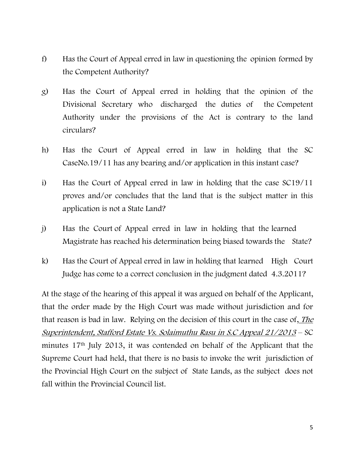- f) Has the Court of Appeal erred in law in questioning the opinion formed by the Competent Authority?
- g) Has the Court of Appeal erred in holding that the opinion of the Divisional Secretary who discharged the duties of the Competent Authority under the provisions of the Act is contrary to the land circulars?
- h) Has the Court of Appeal erred in law in holding that the SC CaseNo.19/11 has any bearing and/or application in this instant case?
- i) Has the Court of Appeal erred in law in holding that the case SC19/11 proves and/or concludes that the land that is the subject matter in this application is not a State Land?
- j) Has the Court of Appeal erred in law in holding that the learned Magistrate has reached his determination being biased towards the State?
- k) Has the Court of Appeal erred in law in holding that learned High Court Judge has come to a correct conclusion in the judgment dated 4.3.2011?

At the stage of the hearing of this appeal it was argued on behalf of the Applicant, that the order made by the High Court was made without jurisdiction and for that reason is bad in law. Relying on the decision of this court in the case of, The Superintendent, Stafford Estate Vs. Solaimuthu Rasu in S.C Appeal 21/2013 – SC minutes 17th July 2013, it was contended on behalf of the Applicant that the Supreme Court had held, that there is no basis to invoke the writ jurisdiction of the Provincial High Court on the subject of State Lands, as the subject does not fall within the Provincial Council list.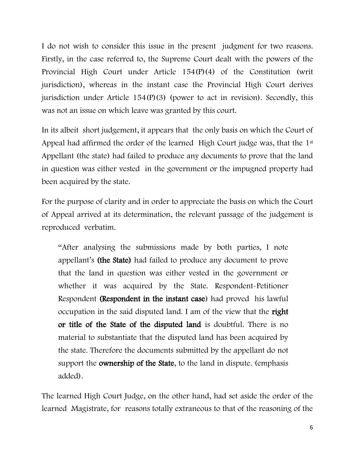I do not wish to consider this issue in the present judgment for two reasons. Firstly, in the case referred to, the Supreme Court dealt with the powers of the Provincial High Court under Article 154(P)(4) of the Constitution (writ jurisdiction), whereas in the instant case the Provincial High Court derives jurisdiction under Article 154(P)(3) (power to act in revision). Secondly, this was not an issue on which leave was granted by this court.

In its albeit short judgement, it appears that the only basis on which the Court of Appeal had affirmed the order of the learned High Court judge was, that the 1<sup>st</sup> Appellant (the state) had failed to produce any documents to prove that the land in question was either vested in the government or the impugned property had been acquired by the state.

For the purpose of clarity and in order to appreciate the basis on which the Court of Appeal arrived at its determination, the relevant passage of the judgement is reproduced verbatim.

"After analysing the submissions made by both parties, I note appellant's (the State) had failed to produce any document to prove that the land in question was either vested in the government or whether it was acquired by the State. Respondent-Petitioner Respondent (Respondent in the instant case) had proved his lawful occupation in the said disputed land. I am of the view that the right or title of the State of the disputed land is doubtful. There is no material to substantiate that the disputed land has been acquired by the state. Therefore the documents submitted by the appellant do not support the ownership of the State, to the land in dispute. (emphasis added).

The learned High Court Judge, on the other hand, had set aside the order of the learned Magistrate, for reasons totally extraneous to that of the reasoning of the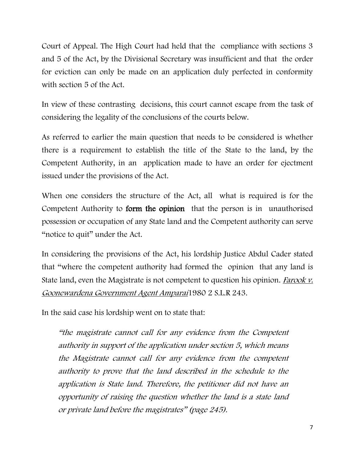Court of Appeal. The High Court had held that the compliance with sections 3 and 5 of the Act, by the Divisional Secretary was insufficient and that the order for eviction can only be made on an application duly perfected in conformity with section 5 of the Act.

In view of these contrasting decisions, this court cannot escape from the task of considering the legality of the conclusions of the courts below.

As referred to earlier the main question that needs to be considered is whether there is a requirement to establish the title of the State to the land, by the Competent Authority, in an application made to have an order for ejectment issued under the provisions of the Act.

When one considers the structure of the Act, all what is required is for the Competent Authority to form the opinion that the person is in unauthorised possession or occupation of any State land and the Competent authority can serve "notice to quit" under the Act.

In considering the provisions of the Act, his lordship Justice Abdul Cader stated that "where the competent authority had formed the opinion that any land is State land, even the Magistrate is not competent to question his opinion. Farook v. Goonewardena Government Agent Amparai1980 2 S.L.R 243.

In the said case his lordship went on to state that:

"the magistrate cannot call for any evidence from the Competent authority in support of the application under section 5, which means the Magistrate cannot call for any evidence from the competent authority to prove that the land described in the schedule to the application is State land. Therefore, the petitioner did not have an opportunity of raising the question whether the land is a state land or private land before the magistrates" (page 245).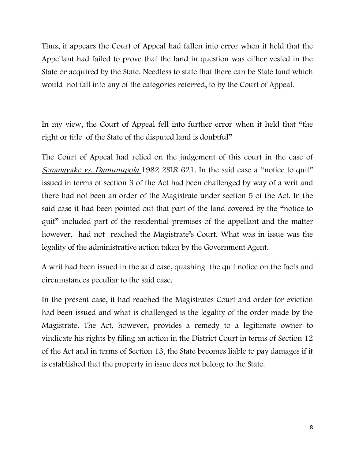Thus, it appears the Court of Appeal had fallen into error when it held that the Appellant had failed to prove that the land in question was either vested in the State or acquired by the State. Needless to state that there can be State land which would not fall into any of the categories referred, to by the Court of Appeal.

In my view, the Court of Appeal fell into further error when it held that "the right or title of the State of the disputed land is doubtful"

The Court of Appeal had relied on the judgement of this court in the case of Senanayake vs. Damunupola 1982 2SLR 621. In the said case a "notice to quit" issued in terms of section 3 of the Act had been challenged by way of a writ and there had not been an order of the Magistrate under section 5 of the Act. In the said case it had been pointed out that part of the land covered by the "notice to quit" included part of the residential premises of the appellant and the matter however, had not reached the Magistrate's Court. What was in issue was the legality of the administrative action taken by the Government Agent.

A writ had been issued in the said case, quashing the quit notice on the facts and circumstances peculiar to the said case.

In the present case, it had reached the Magistrates Court and order for eviction had been issued and what is challenged is the legality of the order made by the Magistrate. The Act, however, provides a remedy to a legitimate owner to vindicate his rights by filing an action in the District Court in terms of Section 12 of the Act and in terms of Section 13, the State becomes liable to pay damages if it is established that the property in issue does not belong to the State.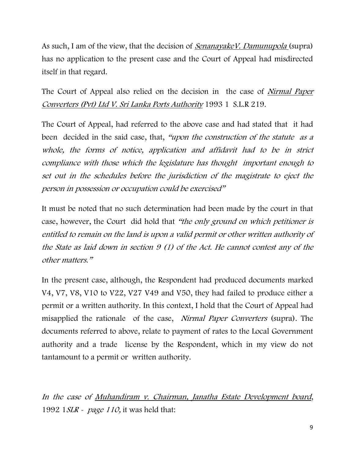As such, I am of the view, that the decision of *SenanayakeV. Damunupola* (supra) has no application to the present case and the Court of Appeal had misdirected itself in that regard.

The Court of Appeal also relied on the decision in the case of *Nirmal Paper* Converters (Pvt) Ltd V. Sri Lanka Ports Authority 1993 1 S.L.R 219.

The Court of Appeal, had referred to the above case and had stated that it had been decided in the said case, that, "upon the construction of the statute as a whole, the forms of notice, application and affidavit had to be in strict compliance with those which the legislature has thought important enough to set out in the schedules before the jurisdiction of the magistrate to eject the person in possession or occupation could be exercised"

It must be noted that no such determination had been made by the court in that case, however, the Court did hold that "the only ground on which petitioner is entitled to remain on the land is upon a valid permit or other written authority of the State as laid down in section 9 (1) of the Act. He cannot contest any of the other matters."

In the present case, although, the Respondent had produced documents marked V4, V7, V8, V10 to V22, V27 V49 and V50, they had failed to produce either a permit or a written authority. In this context, I hold that the Court of Appeal had misapplied the rationale of the case, Nirmal Paper Converters (supra). The documents referred to above, relate to payment of rates to the Local Government authority and a trade license by the Respondent, which in my view do not tantamount to a permit or written authority.

In the case of Muhandiram v. Chairman, Janatha Estate Development board, 1992 1 *SLR - page 110*, it was held that: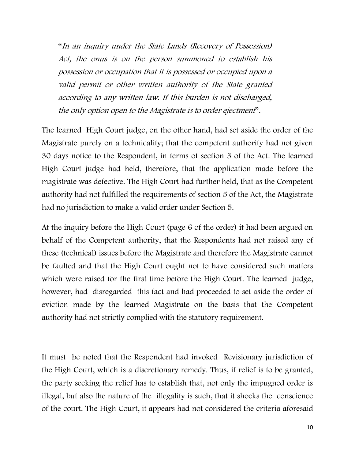"In an inquiry under the State Lands (Recovery of Possession) Act, the onus is on the person summoned to establish his possession or occupation that it is possessed or occupied upon a valid permit or other written authority of the State granted according to any written law. If this burden is not discharged, the only option open to the Magistrate is to order ejectment".

The learned High Court judge, on the other hand, had set aside the order of the Magistrate purely on a technicality; that the competent authority had not given 30 days notice to the Respondent, in terms of section 3 of the Act. The learned High Court judge had held, therefore, that the application made before the magistrate was defective. The High Court had further held, that as the Competent authority had not fulfilled the requirements of section 5 of the Act, the Magistrate had no jurisdiction to make a valid order under Section 5.

At the inquiry before the High Court (page 6 of the order) it had been argued on behalf of the Competent authority, that the Respondents had not raised any of these (technical) issues before the Magistrate and therefore the Magistrate cannot be faulted and that the High Court ought not to have considered such matters which were raised for the first time before the High Court. The learned judge, however, had disregarded this fact and had proceeded to set aside the order of eviction made by the learned Magistrate on the basis that the Competent authority had not strictly complied with the statutory requirement.

It must be noted that the Respondent had invoked Revisionary jurisdiction of the High Court, which is a discretionary remedy. Thus, if relief is to be granted, the party seeking the relief has to establish that, not only the impugned order is illegal, but also the nature of the illegality is such, that it shocks the conscience of the court. The High Court, it appears had not considered the criteria aforesaid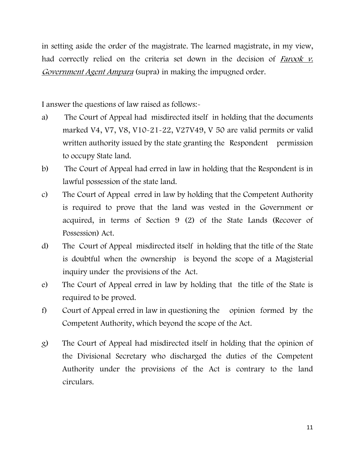in setting aside the order of the magistrate. The learned magistrate, in my view, had correctly relied on the criteria set down in the decision of *Farook v*. Government Agent Ampara (supra) in making the impugned order.

I answer the questions of law raised as follows:-

- a) The Court of Appeal had misdirected itself in holding that the documents marked V4, V7, V8, V10-21-22, V27V49, V 50 are valid permits or valid written authority issued by the state granting the Respondent permission to occupy State land.
- b) The Court of Appeal had erred in law in holding that the Respondent is in lawful possession of the state land.
- c) The Court of Appeal erred in law by holding that the Competent Authority is required to prove that the land was vested in the Government or acquired, in terms of Section 9 (2) of the State Lands (Recover of Possession) Act.
- d) The Court of Appeal misdirected itself in holding that the title of the State is doubtful when the ownership is beyond the scope of a Magisterial inquiry under the provisions of the Act.
- e) The Court of Appeal erred in law by holding that the title of the State is required to be proved.
- f) Court of Appeal erred in law in questioning the opinion formed by the Competent Authority, which beyond the scope of the Act.
- g) The Court of Appeal had misdirected itself in holding that the opinion of the Divisional Secretary who discharged the duties of the Competent Authority under the provisions of the Act is contrary to the land circulars.